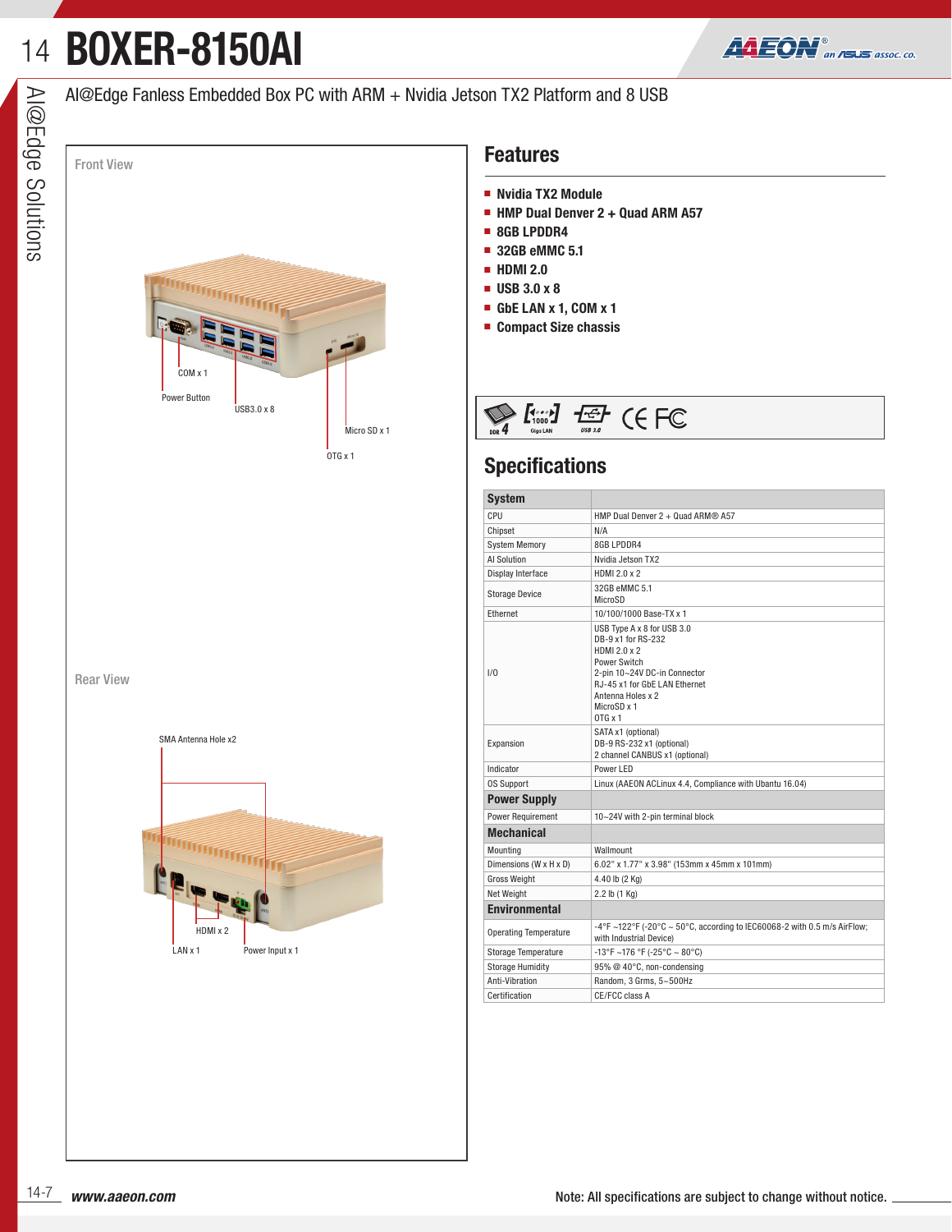# 14**BOXER-8150AI**



### AI@Edge Fanless Embedded Box PC with ARM + Nvidia Jetson TX2 Platform and 8 USB



Rear View



#### **Features**

- **Nvidia TX2 Module**
- **HMP Dual Denver 2 + Quad ARM A57**
- **8GB LPDDR4**
- 32GB eMMC 5.1
- 
- 
- **GbE LAN x 1, COM x 1**
- **Compact Size chassis**



### **Specifications**

| <b>System</b>                |                                                                                                                                                                                                         |  |  |  |  |  |  |  |  |
|------------------------------|---------------------------------------------------------------------------------------------------------------------------------------------------------------------------------------------------------|--|--|--|--|--|--|--|--|
| CPU                          | HMP Dual Denver 2 + Quad ARM <sup>®</sup> A57                                                                                                                                                           |  |  |  |  |  |  |  |  |
| Chipset                      | N/A                                                                                                                                                                                                     |  |  |  |  |  |  |  |  |
| <b>System Memory</b>         | 8GB LPDDR4                                                                                                                                                                                              |  |  |  |  |  |  |  |  |
| <b>Al Solution</b>           | Nvidia Jetson TX2                                                                                                                                                                                       |  |  |  |  |  |  |  |  |
| Display Interface            | HDMI 2.0 x 2                                                                                                                                                                                            |  |  |  |  |  |  |  |  |
| <b>Storage Device</b>        | 32GB eMMC 5.1<br>MicroSD                                                                                                                                                                                |  |  |  |  |  |  |  |  |
| Ethernet                     | 10/100/1000 Base-TX x 1                                                                                                                                                                                 |  |  |  |  |  |  |  |  |
| 1/0                          | USB Type A x 8 for USB 3.0<br>DB-9 x1 for RS-232<br>HDMI 2.0 x 2<br>Power Switch<br>2-pin 10~24V DC-in Connector<br>RJ-45 x1 for GbE LAN Ethernet<br>Antenna Holes x 2<br>MicroSD x 1<br>$0TG \times 1$ |  |  |  |  |  |  |  |  |
| Expansion                    | SATA x1 (optional)<br>DB-9 RS-232 x1 (optional)<br>2 channel CANBUS x1 (optional)                                                                                                                       |  |  |  |  |  |  |  |  |
| Indicator                    | Power LED                                                                                                                                                                                               |  |  |  |  |  |  |  |  |
| <b>OS Support</b>            | Linux (AAEON ACLinux 4.4, Compliance with Ubantu 16.04)                                                                                                                                                 |  |  |  |  |  |  |  |  |
| <b>Power Supply</b>          |                                                                                                                                                                                                         |  |  |  |  |  |  |  |  |
| <b>Power Requirement</b>     | 10~24V with 2-pin terminal block                                                                                                                                                                        |  |  |  |  |  |  |  |  |
| <b>Mechanical</b>            |                                                                                                                                                                                                         |  |  |  |  |  |  |  |  |
| Mounting                     | Wallmount                                                                                                                                                                                               |  |  |  |  |  |  |  |  |
| Dimensions (W x H x D)       | 6.02" x 1.77" x 3.98" (153mm x 45mm x 101mm)                                                                                                                                                            |  |  |  |  |  |  |  |  |
| <b>Gross Weight</b>          | 4.40 lb (2 Kg)                                                                                                                                                                                          |  |  |  |  |  |  |  |  |
| <b>Net Weight</b>            | 2.2 lb (1 Kg)                                                                                                                                                                                           |  |  |  |  |  |  |  |  |
| <b>Environmental</b>         |                                                                                                                                                                                                         |  |  |  |  |  |  |  |  |
| <b>Operating Temperature</b> | -4°F ~122°F (-20°C ~ 50°C, according to IEC60068-2 with 0.5 m/s AirFlow;<br>with Industrial Device)                                                                                                     |  |  |  |  |  |  |  |  |
| <b>Storage Temperature</b>   | -13°F ~176 °F (-25°C ~ 80°C)                                                                                                                                                                            |  |  |  |  |  |  |  |  |
| <b>Storage Humidity</b>      | 95% @ 40°C, non-condensing                                                                                                                                                                              |  |  |  |  |  |  |  |  |
| Anti-Vibration               | Random, 3 Grms, 5~500Hz                                                                                                                                                                                 |  |  |  |  |  |  |  |  |
| Certification                | CE/FCC class A                                                                                                                                                                                          |  |  |  |  |  |  |  |  |